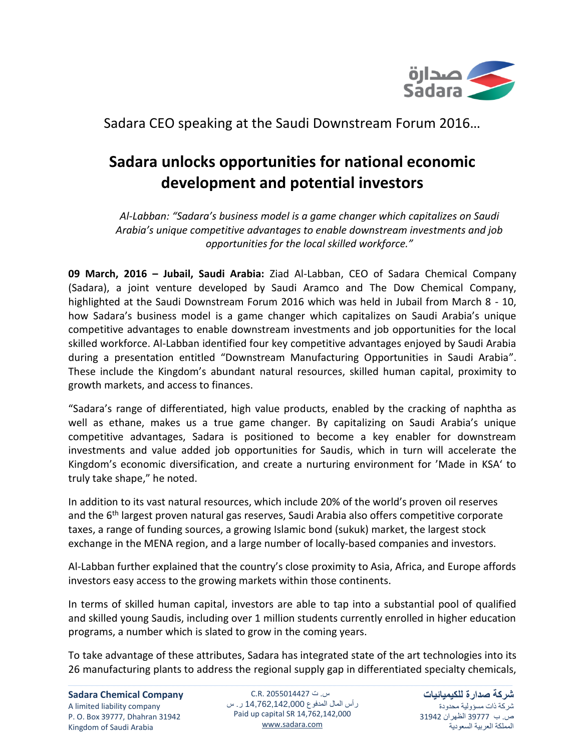

## Sadara CEO speaking at the Saudi Downstream Forum 2016…

## **Sadara unlocks opportunities for national economic development and potential investors**

*Al-Labban: "Sadara's business model is a game changer which capitalizes on Saudi Arabia's unique competitive advantages to enable downstream investments and job opportunities for the local skilled workforce."*

**09 March, 2016 – Jubail, Saudi Arabia:** Ziad Al-Labban, CEO of Sadara Chemical Company (Sadara), a joint venture developed by Saudi Aramco and The Dow Chemical Company, highlighted at the Saudi Downstream Forum 2016 which was held in Jubail from March 8 - 10, how Sadara's business model is a game changer which capitalizes on Saudi Arabia's unique competitive advantages to enable downstream investments and job opportunities for the local skilled workforce. Al-Labban identified four key competitive advantages enjoyed by Saudi Arabia during a presentation entitled "Downstream Manufacturing Opportunities in Saudi Arabia". These include the Kingdom's abundant natural resources, skilled human capital, proximity to growth markets, and access to finances.

"Sadara's range of differentiated, high value products, enabled by the cracking of naphtha as well as ethane, makes us a true game changer. By capitalizing on Saudi Arabia's unique competitive advantages, Sadara is positioned to become a key enabler for downstream investments and value added job opportunities for Saudis, which in turn will accelerate the Kingdom's economic diversification, and create a nurturing environment for 'Made in KSA' to truly take shape," he noted.

In addition to its vast natural resources, which include 20% of the world's proven oil reserves and the 6<sup>th</sup> largest proven natural gas reserves, Saudi Arabia also offers competitive corporate taxes, a range of funding sources, a growing Islamic bond (sukuk) market, the largest stock exchange in the MENA region, and a large number of locally-based companies and investors.

Al-Labban further explained that the country's close proximity to Asia, Africa, and Europe affords investors easy access to the growing markets within those continents.

In terms of skilled human capital, investors are able to tap into a substantial pool of qualified and skilled young Saudis, including over 1 million students currently enrolled in higher education programs, a number which is slated to grow in the coming years.

To take advantage of these attributes, Sadara has integrated state of the art technologies into its 26 manufacturing plants to address the regional supply gap in differentiated specialty chemicals,

س. ت C.R. 2055014427 رأس المال المدفوع 14,762,142,000 ر. س Paid up capital SR 14,762,142,000 [www.sadara.com](http://www.sadara.com/)